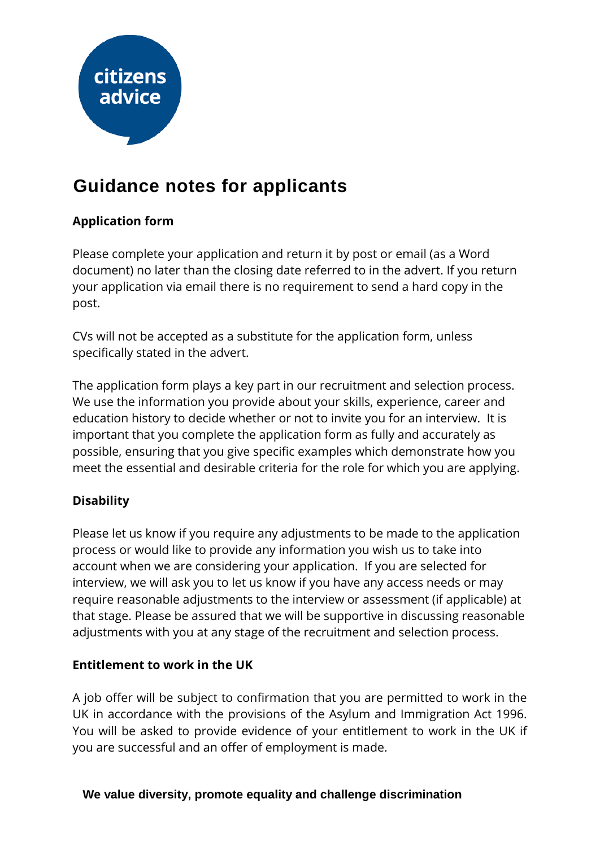

# **Guidance notes for applicants**

# **Application form**

Please complete your application and return it by post or email (as a Word document) no later than the closing date referred to in the advert. If you return your application via email there is no requirement to send a hard copy in the post.

CVs will not be accepted as a substitute for the application form, unless specifically stated in the advert.

The application form plays a key part in our recruitment and selection process. We use the information you provide about your skills, experience, career and education history to decide whether or not to invite you for an interview. It is important that you complete the application form as fully and accurately as possible, ensuring that you give specific examples which demonstrate how you meet the essential and desirable criteria for the role for which you are applying.

# **Disability**

Please let us know if you require any adjustments to be made to the application process or would like to provide any information you wish us to take into account when we are considering your application. If you are selected for interview, we will ask you to let us know if you have any access needs or may require reasonable adjustments to the interview or assessment (if applicable) at that stage. Please be assured that we will be supportive in discussing reasonable adjustments with you at any stage of the recruitment and selection process.

#### **Entitlement to work in the UK**

A job offer will be subject to confirmation that you are permitted to work in the UK in accordance with the provisions of the Asylum and Immigration Act 1996. You will be asked to provide evidence of your entitlement to work in the UK if you are successful and an offer of employment is made.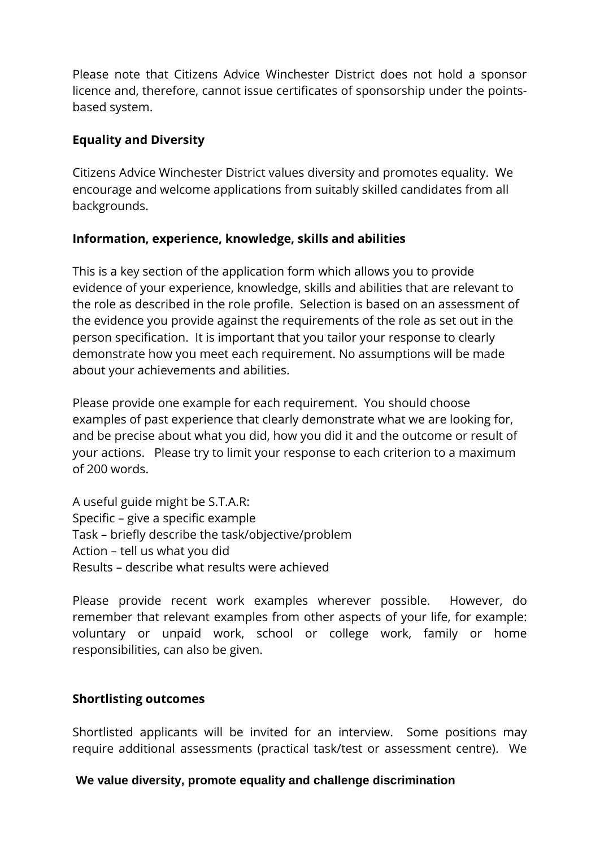Please note that Citizens Advice Winchester District does not hold a sponsor licence and, therefore, cannot issue certificates of sponsorship under the pointsbased system.

# **Equality and Diversity**

Citizens Advice Winchester District values diversity and promotes equality. We encourage and welcome applications from suitably skilled candidates from all backgrounds.

## **Information, experience, knowledge, skills and abilities**

This is a key section of the application form which allows you to provide evidence of your experience, knowledge, skills and abilities that are relevant to the role as described in the role profile. Selection is based on an assessment of the evidence you provide against the requirements of the role as set out in the person specification. It is important that you tailor your response to clearly demonstrate how you meet each requirement. No assumptions will be made about your achievements and abilities.

Please provide one example for each requirement. You should choose examples of past experience that clearly demonstrate what we are looking for, and be precise about what you did, how you did it and the outcome or result of your actions. Please try to limit your response to each criterion to a maximum of 200 words.

A useful guide might be S.T.A.R: Specific – give a specific example Task – briefly describe the task/objective/problem Action – tell us what you did Results – describe what results were achieved

Please provide recent work examples wherever possible. However, do remember that relevant examples from other aspects of your life, for example: voluntary or unpaid work, school or college work, family or home responsibilities, can also be given.

#### **Shortlisting outcomes**

Shortlisted applicants will be invited for an interview. Some positions may require additional assessments (practical task/test or assessment centre). We

#### **We value diversity, promote equality and challenge discrimination**